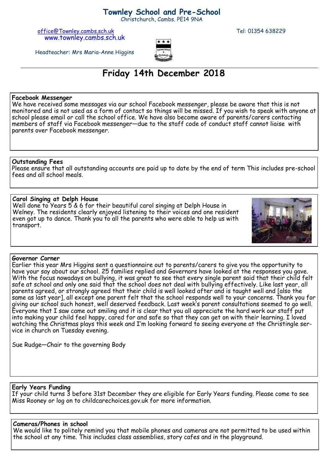### **Townley School and Pre-School**

Christchurch, Cambs. PE14 9NA

[office@Townley.cambs.sch.uk](mailto:office@Townley.cambs.sch.uk) Tel: 01354 638229 www.townley.cambs.sch.uk



Headteacher: Mrs Maria-Anne Higgins

# **Friday 14th December 2018**

#### **Facebook Messenger**

We have received some messages via our school Facebook messenger, please be aware that this is not monitored and is not used as a form of contact so things will be missed. If you wish to speak with anyone at school please email or call the school office. We have also become aware of parents/carers contacting members of staff via Facebook messenger—due to the staff code of conduct staff cannot liaise with parents over Facebook messenger.

#### **Outstanding Fees**

Please ensure that all outstanding accounts are paid up to date by the end of term This includes pre-school fees and all school meals.

#### **Carol Singing at Delph House**

Well done to Years 5 & 6 for their beautiful carol singing at Delph House in Welney. The residents clearly enjoyed listening to their voices and one resident even got up to dance. Thank you to all the parents who were able to help us with transport.



#### **Governor Corner**

Earlier this year Mrs Higgins sent a questionnaire out to parents/carers to give you the opportunity to have your say about our school. 25 families replied and Governors have looked at the responses you gave. With the focus nowadays on bullying, it was great to see that every single parent said that their child felt safe at school and only one said that the school does not deal with bullying effectively. Like last year, all parents agreed, or strongly agreed that their child is well looked after and is taught well and [also the same as last year], all except one parent felt that the school responds well to your concerns. Thank you for giving our school such honest, well deserved feedback. Last week's parent consultations seemed to go well. Everyone that I saw came out smiling and it is clear that you all appreciate the hard work our staff put into making your child feel happy, cared for and safe so that they can get on with their learning. I loved watching the Christmas plays this week and I'm looking forward to seeing everyone at the Christingle service in church on Tuesday evening.

Sue Rudge—Chair to the governing Body

#### **Early Years Funding**

If your child turns 3 before 31st December they are eligible for Early Years funding. Please come to see Miss Rooney or log on to childcarechoices.gov.uk for more information.

#### **Cameras/Phones in school**

We would like to politely remind you that mobile phones and cameras are not permitted to be used within the school at any time. This includes class assemblies, story cafes and in the playground.